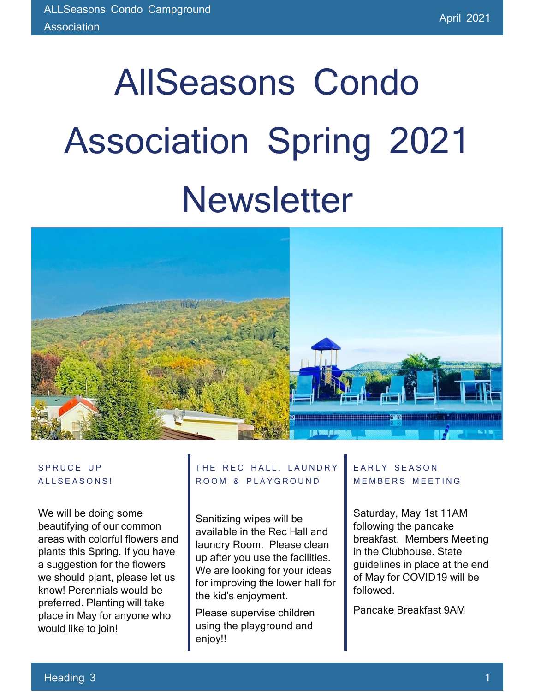# AllSeasons Condo Association Spring 2021 **Newsletter**



#### SPRUCE UP ALLSEASONS!

We will be doing some beautifying of our common areas with colorful flowers and plants this Spring. If you have a suggestion for the flowers we should plant, please let us know! Perennials would be preferred. Planting will take place in May for anyone who would like to join!

### THE REC HALL, LAUNDRY ROOM & PLAYGROUND

Sanitizing wipes will be available in the Rec Hall and laundry Room. Please clean up after you use the facilities. We are looking for your ideas for improving the lower hall for the kid's enjoyment.

Please supervise children using the playground and enjoy!!

### E A R L Y S E A S O N **MEMBERS MEETING**

Saturday, May 1st 11AM following the pancake breakfast. Members Meeting in the Clubhouse. State guidelines in place at the end of May for COVID19 will be followed.

Pancake Breakfast 9AM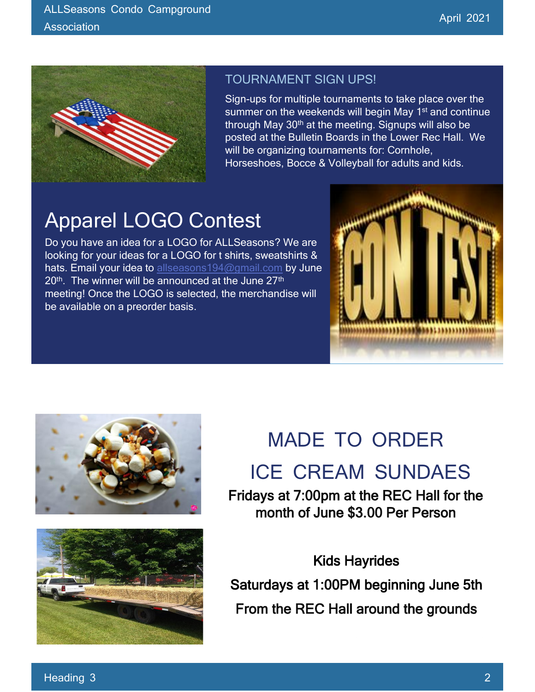

### TOURNAMENT SIGN UPS!

Sign-ups for multiple tournaments to take place over the summer on the weekends will begin May 1<sup>st</sup> and continue through May 30<sup>th</sup> at the meeting. Signups will also be posted at the Bulletin Boards in the Lower Rec Hall. We will be organizing tournaments for: Cornhole, Horseshoes, Bocce & Volleyball for adults and kids.

# Apparel LOGO Contest

Do you have an idea for a LOGO for ALLSeasons? We are looking for your ideas for a LOGO for t shirts, sweatshirts & hats. Email your idea to [allseasons194@gmail.com](about:blank) by June  $20<sup>th</sup>$ . The winner will be announced at the June  $27<sup>th</sup>$ meeting! Once the LOGO is selected, the merchandise will be available on a preorder basis.







## MADE TO ORDER

### ICE CREAM SUNDAES

Fridays at 7:00pm at the REC Hall for the month of June \$3.00 Per Person

Kids Hayrides Saturdays at 1:00PM beginning June 5th From the REC Hall around the grounds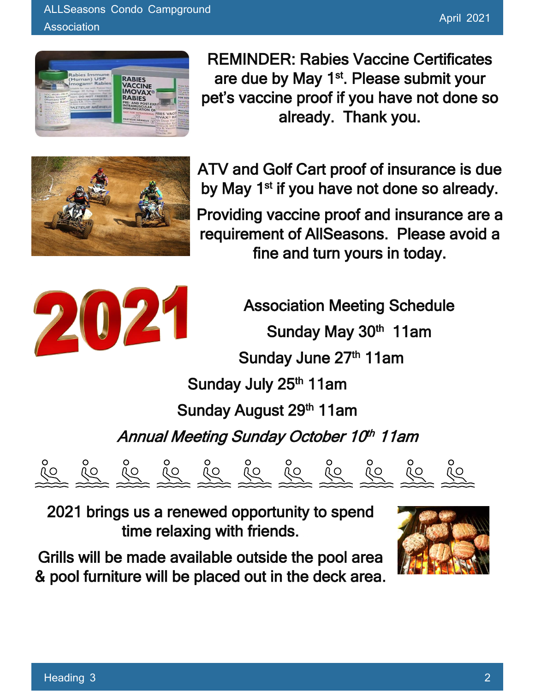

REMINDER: Rabies Vaccine Certificates are due by May 1<sup>st</sup>. Please submit your pet's vaccine proof if you have not done so already. Thank you.



ATV and Golf Cart proof of insurance is due by May 1<sup>st</sup> if you have not done so already.

Providing vaccine proof and insurance are a requirement of AllSeasons. Please avoid a fine and turn yours in today.



Association Meeting Schedule Sunday May 30<sup>th</sup> 11am Sunday June 27<sup>th</sup> 11am Sunday July 25<sup>th</sup> 11am Sunday August 29<sup>th</sup> 11am Annual Meeting Sunday October 10th 11am



2021 brings us a renewed opportunity to spend time relaxing with friends.

Grills will be made available outside the pool area & pool furniture will be placed out in the deck area.

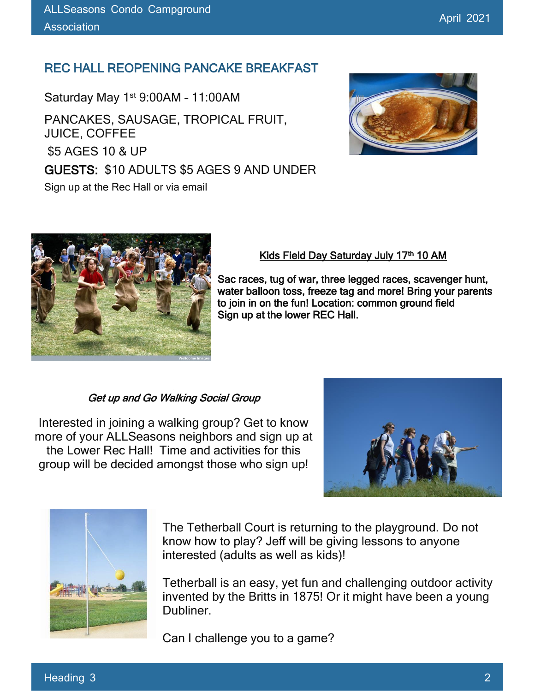### REC HALL REOPENING PANCAKE BREAKFAST

Saturday May 1st 9:00AM – 11:00AM

PANCAKES, SAUSAGE, TROPICAL FRUIT, JUICE, COFFEE \$5 AGES 10 & UP GUESTS: \$10 ADULTS \$5 AGES 9 AND UNDER Sign up at the Rec Hall or via email





### Kids Field Day Saturday July 17<sup>th</sup> 10 AM

Sac races, tug of war, three legged races, scavenger hunt, water balloon toss, freeze tag and more! Bring your parents to join in on the fun! Location: common ground field Sign up at the lower REC Hall.

#### Get up and Go Walking Social Group

Interested in joining a walking group? Get to know more of your ALLSeasons neighbors and sign up at the Lower Rec Hall! Time and activities for this group will be decided amongst those who sign up!





The Tetherball Court is returning to the playground. Do not know how to play? Jeff will be giving lessons to anyone interested (adults as well as kids)!

Tetherball is an easy, yet fun and challenging outdoor activity invented by the Britts in 1875! Or it might have been a young Dubliner.

Can I challenge you to a game?